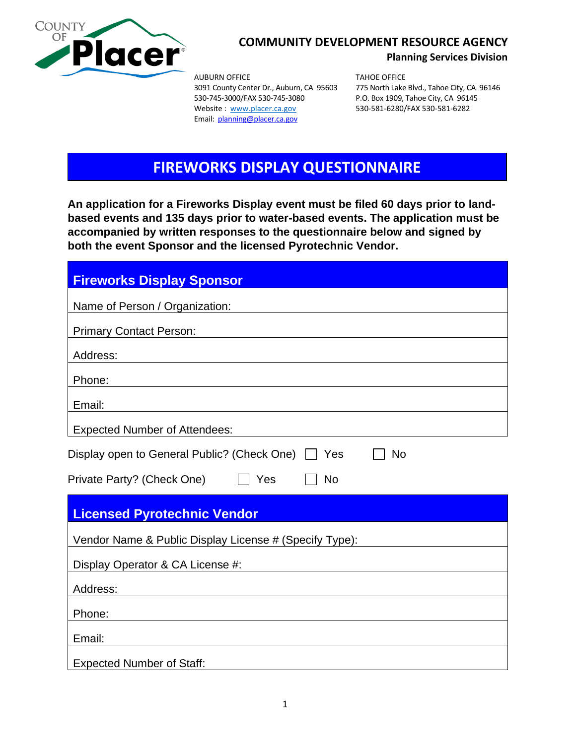

### **COMMUNITY DEVELOPMENT RESOURCE AGENCY**

**Planning Services Division**

AUBURN OFFICE TAHOE OFFICE 530-745-3000/FAX 530-745-3080 P.O. Box 1909, Tahoe City, CA 96145 Website: [www.placer.ca.gov](http://www.placer.ca.gov/) 530-581-6280/FAX 530-581-6282 Email: planning@placer.ca.gov

3091 County Center Dr., Auburn, CA 95603 775 North Lake Blvd., Tahoe City, CA 96146

# **FIREWORKS DISPLAY QUESTIONNAIRE**

**An application for a Fireworks Display event must be filed 60 days prior to landbased events and 135 days prior to water-based events. The application must be accompanied by written responses to the questionnaire below and signed by both the event Sponsor and the licensed Pyrotechnic Vendor.**

| <b>Fireworks Display Sponsor</b>                         |
|----------------------------------------------------------|
| Name of Person / Organization:                           |
| <b>Primary Contact Person:</b>                           |
| Address:                                                 |
| Phone:                                                   |
| Email:                                                   |
| <b>Expected Number of Attendees:</b>                     |
| Display open to General Public? (Check One)<br>Yes<br>No |
| Private Party? (Check One)<br>Yes<br><b>No</b>           |
| <b>Licensed Pyrotechnic Vendor</b>                       |
| Vendor Name & Public Display License # (Specify Type):   |
| Display Operator & CA License #:                         |
| Address:                                                 |
| Phone:                                                   |
| Email:                                                   |
| <b>Expected Number of Staff:</b>                         |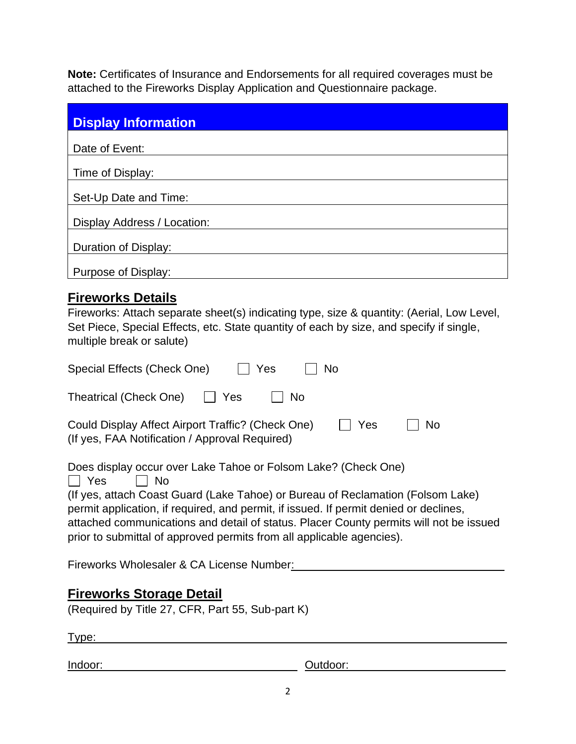**Note:** Certificates of Insurance and Endorsements for all required coverages must be attached to the Fireworks Display Application and Questionnaire package.

| <b>Display Information</b>  |
|-----------------------------|
| Date of Event:              |
| Time of Display:            |
| Set-Up Date and Time:       |
| Display Address / Location: |
| Duration of Display:        |
| Purpose of Display:         |

# **Fireworks Details**

| Fireworks: Attach separate sheet(s) indicating type, size & quantity: (Aerial, Low Level, |
|-------------------------------------------------------------------------------------------|
| Set Piece, Special Effects, etc. State quantity of each by size, and specify if single,   |
| multiple break or salute)                                                                 |

| Special Effects (Check One)<br>Yes<br>No                                                                                                                                                                                                                                                                                                                                                                                    |
|-----------------------------------------------------------------------------------------------------------------------------------------------------------------------------------------------------------------------------------------------------------------------------------------------------------------------------------------------------------------------------------------------------------------------------|
| Theatrical (Check One)<br>Yes<br>No.                                                                                                                                                                                                                                                                                                                                                                                        |
| Could Display Affect Airport Traffic? (Check One)<br>Yes<br>N <sub>o</sub><br>(If yes, FAA Notification / Approval Required)                                                                                                                                                                                                                                                                                                |
| Does display occur over Lake Tahoe or Folsom Lake? (Check One)<br>Yes<br>No.<br>(If yes, attach Coast Guard (Lake Tahoe) or Bureau of Reclamation (Folsom Lake)<br>permit application, if required, and permit, if issued. If permit denied or declines,<br>attached communications and detail of status. Placer County permits will not be issued<br>prior to submittal of approved permits from all applicable agencies). |
| Fireworks Wholesaler & CA License Number:                                                                                                                                                                                                                                                                                                                                                                                   |
| <b>Fireworks Storage Detail</b><br>(Required by Title 27, CFR, Part 55, Sub-part K)<br>Type:                                                                                                                                                                                                                                                                                                                                |
| Indoor:<br>Outdoor:                                                                                                                                                                                                                                                                                                                                                                                                         |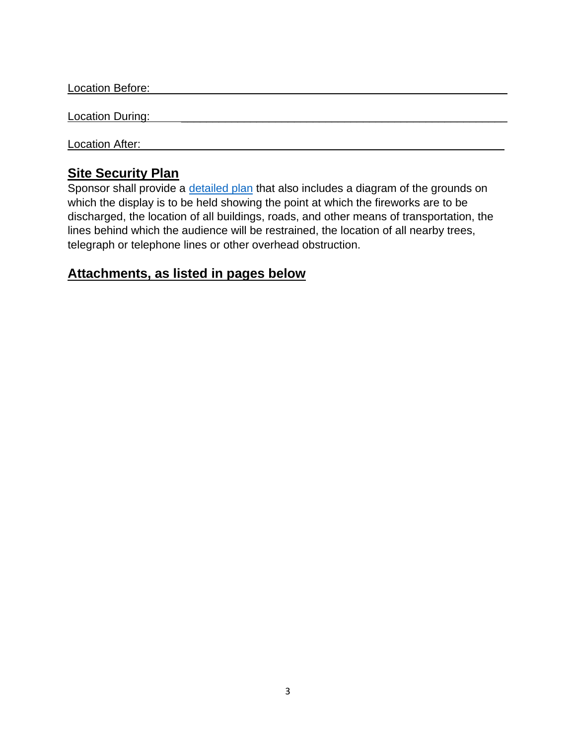Location Before:

Location During:

Location After:

## **Site Security Plan**

Sponsor shall provide a [detailed plan](https://www.placer.ca.gov/DocumentCenter/View/37233/Site-Plan-Requirements) that also includes a diagram of the grounds on which the display is to be held showing the point at which the fireworks are to be discharged, the location of all buildings, roads, and other means of transportation, the lines behind which the audience will be restrained, the location of all nearby trees, telegraph or telephone lines or other overhead obstruction.

## **Attachments, as listed in pages below**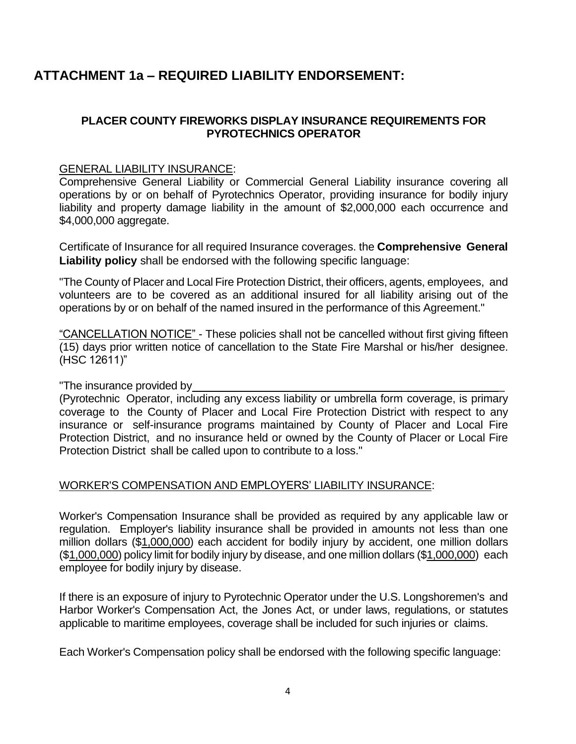# **ATTACHMENT 1a – REQUIRED LIABILITY ENDORSEMENT:**

#### **PLACER COUNTY FIREWORKS DISPLAY INSURANCE REQUIREMENTS FOR PYROTECHNICS OPERATOR**

#### GENERAL LIABILITY INSURANCE:

Comprehensive General Liability or Commercial General Liability insurance covering all operations by or on behalf of Pyrotechnics Operator, providing insurance for bodily injury liability and property damage liability in the amount of \$2,000,000 each occurrence and \$4,000,000 aggregate.

Certificate of Insurance for all required Insurance coverages. the **Comprehensive General Liability policy** shall be endorsed with the following specific language:

"The County of Placer and Local Fire Protection District, their officers, agents, employees, and volunteers are to be covered as an additional insured for all liability arising out of the operations by or on behalf of the named insured in the performance of this Agreement."

"CANCELLATION NOTICE" - These policies shall not be cancelled without first giving fifteen (15) days prior written notice of cancellation to the State Fire Marshal or his/her designee. (HSC 12611)"

"The insurance provided by \_

(Pyrotechnic Operator, including any excess liability or umbrella form coverage, is primary coverage to the County of Placer and Local Fire Protection District with respect to any insurance or self-insurance programs maintained by County of Placer and Local Fire Protection District, and no insurance held or owned by the County of Placer or Local Fire Protection District shall be called upon to contribute to a loss."

#### WORKER'S COMPENSATION AND EMPLOYERS' LIABILITY INSURANCE:

Worker's Compensation Insurance shall be provided as required by any applicable law or regulation. Employer's liability insurance shall be provided in amounts not less than one million dollars (\$1,000,000) each accident for bodily injury by accident, one million dollars (\$1,000,000) policy limit for bodily injury by disease, and one million dollars (\$1,000,000) each employee for bodily injury by disease.

If there is an exposure of injury to Pyrotechnic Operator under the U.S. Longshoremen's and Harbor Worker's Compensation Act, the Jones Act, or under laws, regulations, or statutes applicable to maritime employees, coverage shall be included for such injuries or claims.

Each Worker's Compensation policy shall be endorsed with the following specific language: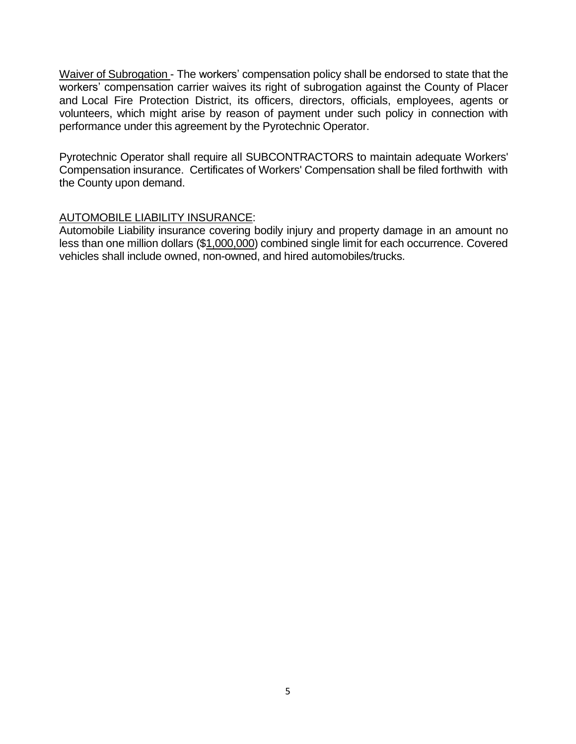Waiver of Subrogation - The workers' compensation policy shall be endorsed to state that the workers' compensation carrier waives its right of subrogation against the County of Placer and Local Fire Protection District, its officers, directors, officials, employees, agents or volunteers, which might arise by reason of payment under such policy in connection with performance under this agreement by the Pyrotechnic Operator.

Pyrotechnic Operator shall require all SUBCONTRACTORS to maintain adequate Workers' Compensation insurance. Certificates of Workers' Compensation shall be filed forthwith with the County upon demand.

#### AUTOMOBILE LIABILITY INSURANCE:

Automobile Liability insurance covering bodily injury and property damage in an amount no less than one million dollars (\$1,000,000) combined single limit for each occurrence. Covered vehicles shall include owned, non-owned, and hired automobiles/trucks.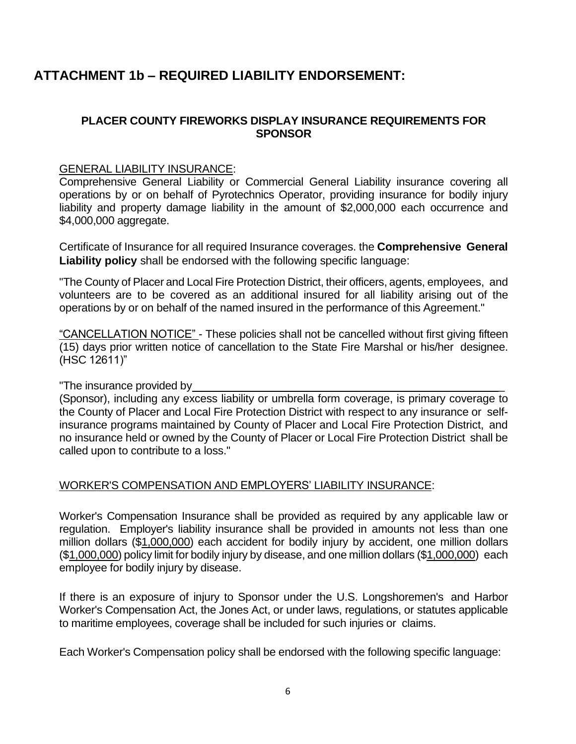# **ATTACHMENT 1b – REQUIRED LIABILITY ENDORSEMENT:**

#### **PLACER COUNTY FIREWORKS DISPLAY INSURANCE REQUIREMENTS FOR SPONSOR**

#### GENERAL LIABILITY INSURANCE:

Comprehensive General Liability or Commercial General Liability insurance covering all operations by or on behalf of Pyrotechnics Operator, providing insurance for bodily injury liability and property damage liability in the amount of \$2,000,000 each occurrence and \$4,000,000 aggregate.

Certificate of Insurance for all required Insurance coverages. the **Comprehensive General Liability policy** shall be endorsed with the following specific language:

"The County of Placer and Local Fire Protection District, their officers, agents, employees, and volunteers are to be covered as an additional insured for all liability arising out of the operations by or on behalf of the named insured in the performance of this Agreement."

"CANCELLATION NOTICE" - These policies shall not be cancelled without first giving fifteen (15) days prior written notice of cancellation to the State Fire Marshal or his/her designee. (HSC 12611)"

"The insurance provided by \_

(Sponsor), including any excess liability or umbrella form coverage, is primary coverage to the County of Placer and Local Fire Protection District with respect to any insurance or selfinsurance programs maintained by County of Placer and Local Fire Protection District, and no insurance held or owned by the County of Placer or Local Fire Protection District shall be called upon to contribute to a loss."

#### WORKER'S COMPENSATION AND EMPLOYERS' LIABILITY INSURANCE:

Worker's Compensation Insurance shall be provided as required by any applicable law or regulation. Employer's liability insurance shall be provided in amounts not less than one million dollars (\$1,000,000) each accident for bodily injury by accident, one million dollars (\$1,000,000) policy limit for bodily injury by disease, and one million dollars (\$1,000,000) each employee for bodily injury by disease.

If there is an exposure of injury to Sponsor under the U.S. Longshoremen's and Harbor Worker's Compensation Act, the Jones Act, or under laws, regulations, or statutes applicable to maritime employees, coverage shall be included for such injuries or claims.

Each Worker's Compensation policy shall be endorsed with the following specific language: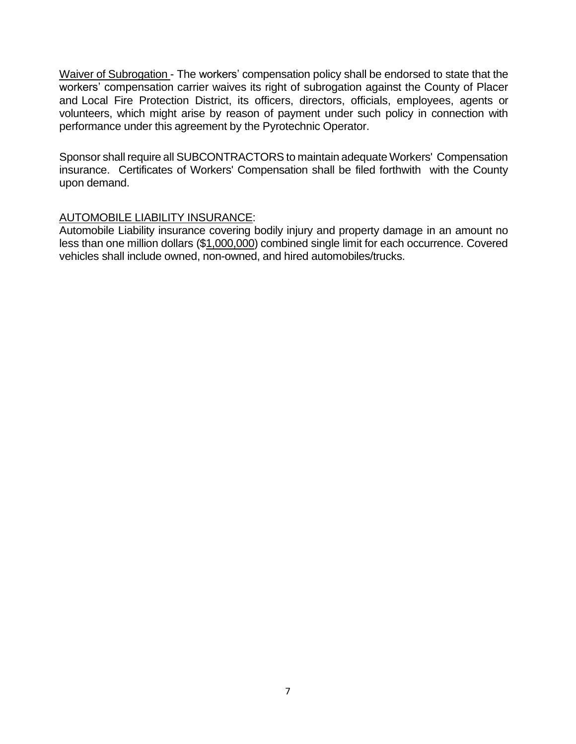Waiver of Subrogation - The workers' compensation policy shall be endorsed to state that the workers' compensation carrier waives its right of subrogation against the County of Placer and Local Fire Protection District, its officers, directors, officials, employees, agents or volunteers, which might arise by reason of payment under such policy in connection with performance under this agreement by the Pyrotechnic Operator.

Sponsor shall require all SUBCONTRACTORS to maintain adequate Workers' Compensation insurance. Certificates of Workers' Compensation shall be filed forthwith with the County upon demand.

#### AUTOMOBILE LIABILITY INSURANCE:

Automobile Liability insurance covering bodily injury and property damage in an amount no less than one million dollars (\$1,000,000) combined single limit for each occurrence. Covered vehicles shall include owned, non-owned, and hired automobiles/trucks.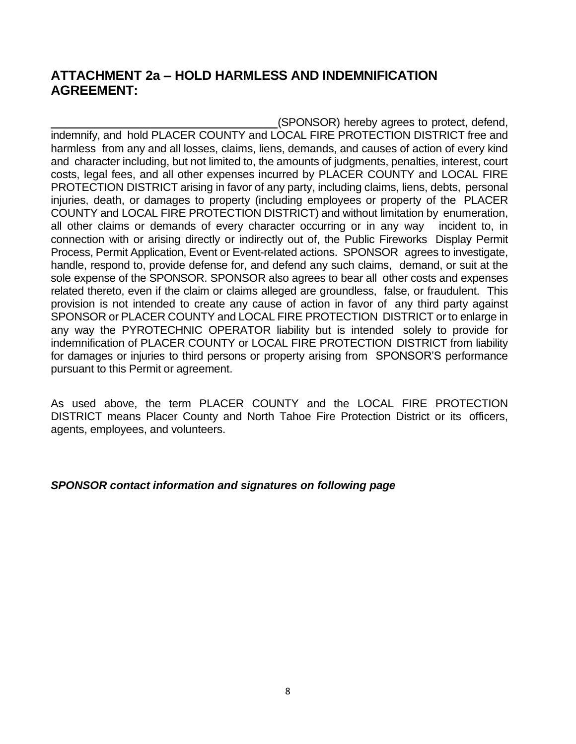## **ATTACHMENT 2a – HOLD HARMLESS AND INDEMNIFICATION AGREEMENT:**

(SPONSOR) hereby agrees to protect, defend, indemnify, and hold PLACER COUNTY and LOCAL FIRE PROTECTION DISTRICT free and harmless from any and all losses, claims, liens, demands, and causes of action of every kind and character including, but not limited to, the amounts of judgments, penalties, interest, court costs, legal fees, and all other expenses incurred by PLACER COUNTY and LOCAL FIRE PROTECTION DISTRICT arising in favor of any party, including claims, liens, debts, personal injuries, death, or damages to property (including employees or property of the PLACER COUNTY and LOCAL FIRE PROTECTION DISTRICT) and without limitation by enumeration, all other claims or demands of every character occurring or in any way incident to, in connection with or arising directly or indirectly out of, the Public Fireworks Display Permit Process, Permit Application, Event or Event-related actions. SPONSOR agrees to investigate, handle, respond to, provide defense for, and defend any such claims, demand, or suit at the sole expense of the SPONSOR. SPONSOR also agrees to bear all other costs and expenses related thereto, even if the claim or claims alleged are groundless, false, or fraudulent. This provision is not intended to create any cause of action in favor of any third party against SPONSOR or PLACER COUNTY and LOCAL FIRE PROTECTION DISTRICT or to enlarge in any way the PYROTECHNIC OPERATOR liability but is intended solely to provide for indemnification of PLACER COUNTY or LOCAL FIRE PROTECTION DISTRICT from liability for damages or injuries to third persons or property arising from SPONSOR'S performance pursuant to this Permit or agreement.

As used above, the term PLACER COUNTY and the LOCAL FIRE PROTECTION DISTRICT means Placer County and North Tahoe Fire Protection District or its officers, agents, employees, and volunteers.

#### *SPONSOR contact information and signatures on following page*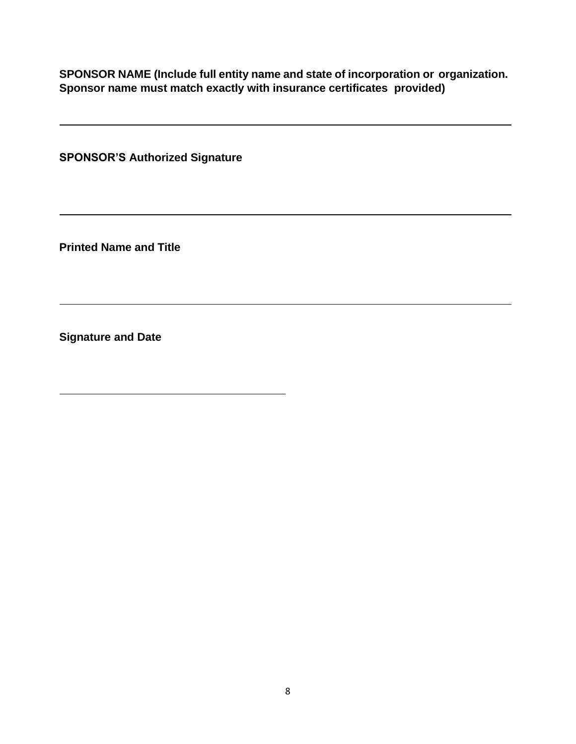**SPONSOR NAME (Include full entity name and state of incorporation or organization. Sponsor name must match exactly with insurance certificates provided)**

**SPONSOR'S Authorized Signature**

**Printed Name and Title**

**Signature and Date**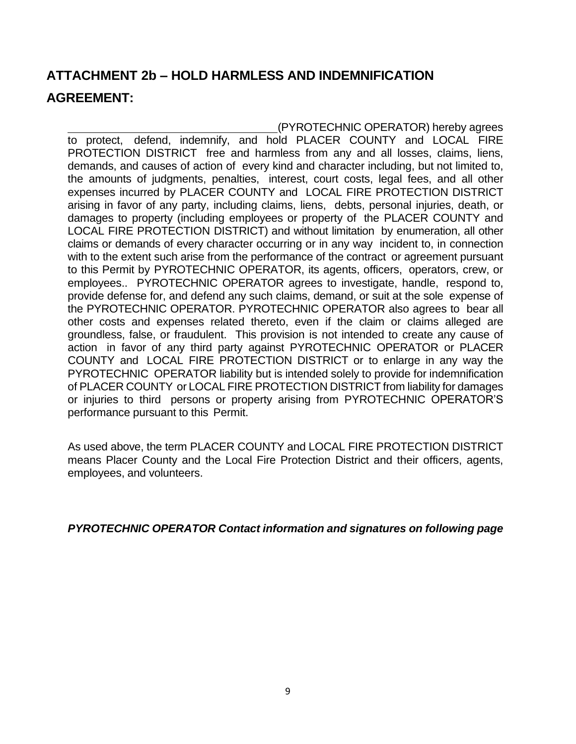# **ATTACHMENT 2b – HOLD HARMLESS AND INDEMNIFICATION AGREEMENT:**

(PYROTECHNIC OPERATOR) hereby agrees to protect, defend, indemnify, and hold PLACER COUNTY and LOCAL FIRE PROTECTION DISTRICT free and harmless from any and all losses, claims, liens, demands, and causes of action of every kind and character including, but not limited to, the amounts of judgments, penalties, interest, court costs, legal fees, and all other expenses incurred by PLACER COUNTY and LOCAL FIRE PROTECTION DISTRICT arising in favor of any party, including claims, liens, debts, personal injuries, death, or damages to property (including employees or property of the PLACER COUNTY and LOCAL FIRE PROTECTION DISTRICT) and without limitation by enumeration, all other claims or demands of every character occurring or in any way incident to, in connection with to the extent such arise from the performance of the contract or agreement pursuant to this Permit by PYROTECHNIC OPERATOR, its agents, officers, operators, crew, or employees.. PYROTECHNIC OPERATOR agrees to investigate, handle, respond to, provide defense for, and defend any such claims, demand, or suit at the sole expense of the PYROTECHNIC OPERATOR. PYROTECHNIC OPERATOR also agrees to bear all other costs and expenses related thereto, even if the claim or claims alleged are groundless, false, or fraudulent. This provision is not intended to create any cause of action in favor of any third party against PYROTECHNIC OPERATOR or PLACER COUNTY and LOCAL FIRE PROTECTION DISTRICT or to enlarge in any way the PYROTECHNIC OPERATOR liability but is intended solely to provide for indemnification of PLACER COUNTY or LOCAL FIRE PROTECTION DISTRICT from liability for damages or injuries to third persons or property arising from PYROTECHNIC OPERATOR'S performance pursuant to this Permit.

As used above, the term PLACER COUNTY and LOCAL FIRE PROTECTION DISTRICT means Placer County and the Local Fire Protection District and their officers, agents, employees, and volunteers.

*PYROTECHNIC OPERATOR Contact information and signatures on following page*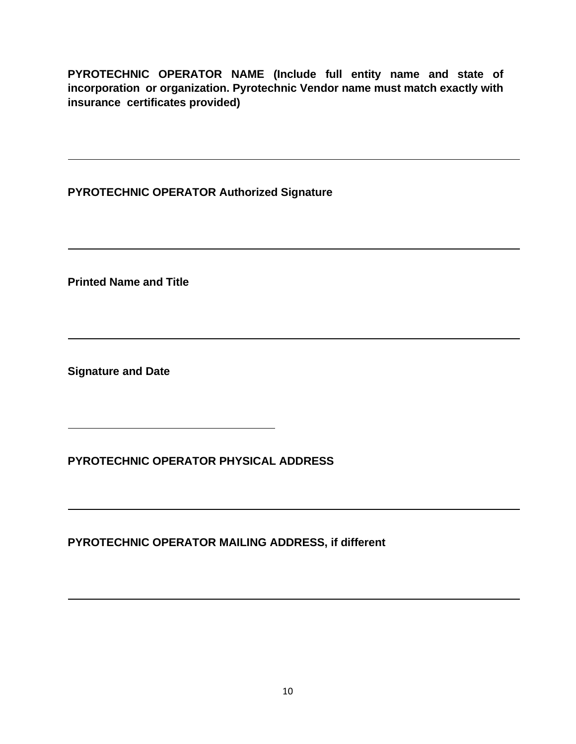**PYROTECHNIC OPERATOR NAME (Include full entity name and state of incorporation or organization. Pyrotechnic Vendor name must match exactly with insurance certificates provided)**

**PYROTECHNIC OPERATOR Authorized Signature**

**Printed Name and Title**

**Signature and Date**

**PYROTECHNIC OPERATOR PHYSICAL ADDRESS**

**PYROTECHNIC OPERATOR MAILING ADDRESS, if different**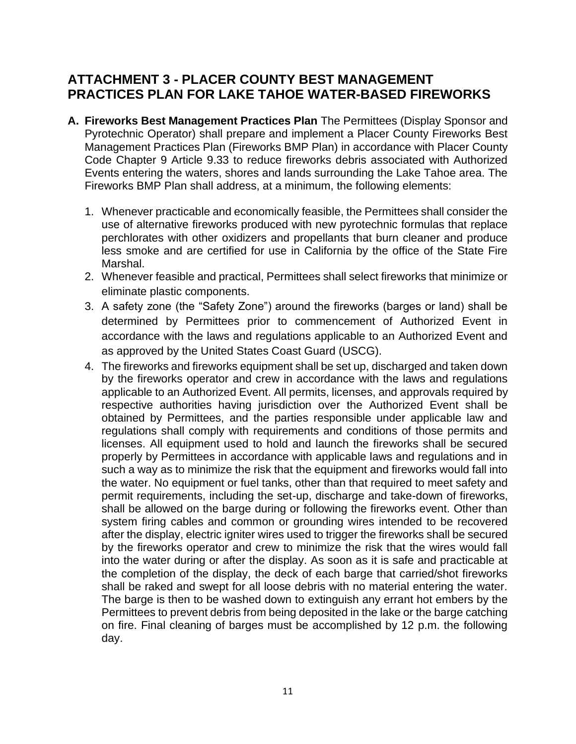## **ATTACHMENT 3 - PLACER COUNTY BEST MANAGEMENT PRACTICES PLAN FOR LAKE TAHOE WATER-BASED FIREWORKS**

- **A. Fireworks Best Management Practices Plan** The Permittees (Display Sponsor and Pyrotechnic Operator) shall prepare and implement a Placer County Fireworks Best Management Practices Plan (Fireworks BMP Plan) in accordance with Placer County Code Chapter 9 Article 9.33 to reduce fireworks debris associated with Authorized Events entering the waters, shores and lands surrounding the Lake Tahoe area. The Fireworks BMP Plan shall address, at a minimum, the following elements:
	- 1. Whenever practicable and economically feasible, the Permittees shall consider the use of alternative fireworks produced with new pyrotechnic formulas that replace perchlorates with other oxidizers and propellants that burn cleaner and produce less smoke and are certified for use in California by the office of the State Fire Marshal.
	- 2. Whenever feasible and practical, Permittees shall select fireworks that minimize or eliminate plastic components.
	- 3. A safety zone (the "Safety Zone") around the fireworks (barges or land) shall be determined by Permittees prior to commencement of Authorized Event in accordance with the laws and regulations applicable to an Authorized Event and as approved by the United States Coast Guard (USCG).
	- 4. The fireworks and fireworks equipment shall be set up, discharged and taken down by the fireworks operator and crew in accordance with the laws and regulations applicable to an Authorized Event. All permits, licenses, and approvals required by respective authorities having jurisdiction over the Authorized Event shall be obtained by Permittees, and the parties responsible under applicable law and regulations shall comply with requirements and conditions of those permits and licenses. All equipment used to hold and launch the fireworks shall be secured properly by Permittees in accordance with applicable laws and regulations and in such a way as to minimize the risk that the equipment and fireworks would fall into the water. No equipment or fuel tanks, other than that required to meet safety and permit requirements, including the set-up, discharge and take-down of fireworks, shall be allowed on the barge during or following the fireworks event. Other than system firing cables and common or grounding wires intended to be recovered after the display, electric igniter wires used to trigger the fireworks shall be secured by the fireworks operator and crew to minimize the risk that the wires would fall into the water during or after the display. As soon as it is safe and practicable at the completion of the display, the deck of each barge that carried/shot fireworks shall be raked and swept for all loose debris with no material entering the water. The barge is then to be washed down to extinguish any errant hot embers by the Permittees to prevent debris from being deposited in the lake or the barge catching on fire. Final cleaning of barges must be accomplished by 12 p.m. the following day.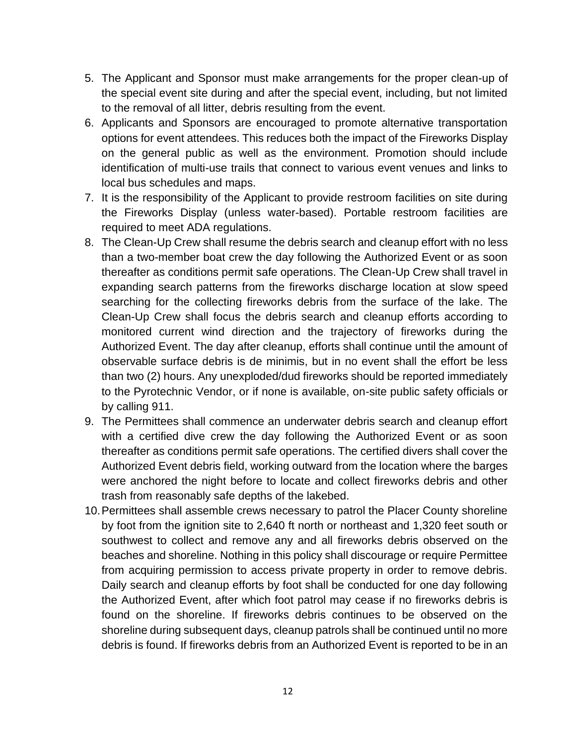- 5. The Applicant and Sponsor must make arrangements for the proper clean-up of the special event site during and after the special event, including, but not limited to the removal of all litter, debris resulting from the event.
- 6. Applicants and Sponsors are encouraged to promote alternative transportation options for event attendees. This reduces both the impact of the Fireworks Display on the general public as well as the environment. Promotion should include identification of multi-use trails that connect to various event venues and links to local bus schedules and maps.
- 7. It is the responsibility of the Applicant to provide restroom facilities on site during the Fireworks Display (unless water-based). Portable restroom facilities are required to meet ADA regulations.
- 8. The Clean-Up Crew shall resume the debris search and cleanup effort with no less than a two-member boat crew the day following the Authorized Event or as soon thereafter as conditions permit safe operations. The Clean-Up Crew shall travel in expanding search patterns from the fireworks discharge location at slow speed searching for the collecting fireworks debris from the surface of the lake. The Clean-Up Crew shall focus the debris search and cleanup efforts according to monitored current wind direction and the trajectory of fireworks during the Authorized Event. The day after cleanup, efforts shall continue until the amount of observable surface debris is de minimis, but in no event shall the effort be less than two (2) hours. Any unexploded/dud fireworks should be reported immediately to the Pyrotechnic Vendor, or if none is available, on-site public safety officials or by calling 911.
- 9. The Permittees shall commence an underwater debris search and cleanup effort with a certified dive crew the day following the Authorized Event or as soon thereafter as conditions permit safe operations. The certified divers shall cover the Authorized Event debris field, working outward from the location where the barges were anchored the night before to locate and collect fireworks debris and other trash from reasonably safe depths of the lakebed.
- 10.Permittees shall assemble crews necessary to patrol the Placer County shoreline by foot from the ignition site to 2,640 ft north or northeast and 1,320 feet south or southwest to collect and remove any and all fireworks debris observed on the beaches and shoreline. Nothing in this policy shall discourage or require Permittee from acquiring permission to access private property in order to remove debris. Daily search and cleanup efforts by foot shall be conducted for one day following the Authorized Event, after which foot patrol may cease if no fireworks debris is found on the shoreline. If fireworks debris continues to be observed on the shoreline during subsequent days, cleanup patrols shall be continued until no more debris is found. If fireworks debris from an Authorized Event is reported to be in an